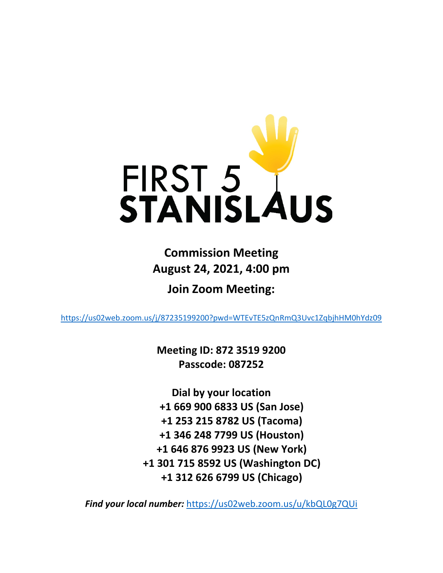

**Commission Meeting August 24, 2021, 4:00 pm**

**Join Zoom Meeting:**

<https://us02web.zoom.us/j/87235199200?pwd=WTEvTE5zQnRmQ3Uvc1ZqbjhHM0hYdz09>

**Meeting ID: 872 3519 9200 Passcode: 087252**

**Dial by your location +1 669 900 6833 US (San Jose) +1 253 215 8782 US (Tacoma) +1 346 248 7799 US (Houston) +1 646 876 9923 US (New York) +1 301 715 8592 US (Washington DC) +1 312 626 6799 US (Chicago)**

*Find your local number:* <https://us02web.zoom.us/u/kbQL0g7QUi>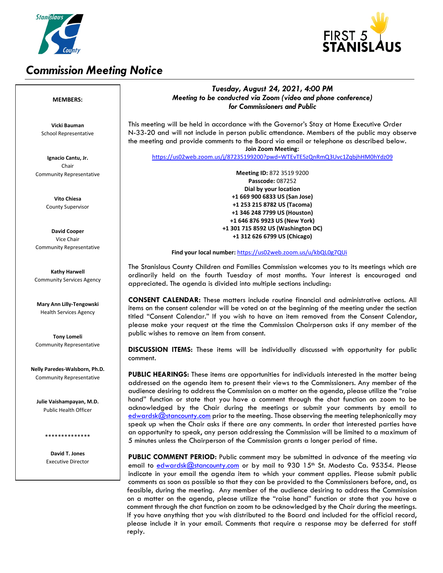

# *Commission Meeting Notice*



### *Tuesday, August 24, 2021, 4:00 PM Meeting to be conducted via Zoom (video and phone conference) for Commissioners and Public*

This meeting will be held in accordance with the Governor's Stay at Home Executive Order N-33-20 and will not include in person public attendance. Members of the public may observe the meeting and provide comments to the Board via email or telephone as described below. **Join Zoom Meeting:**

<https://us02web.zoom.us/j/87235199200?pwd=WTEvTE5zQnRmQ3Uvc1ZqbjhHM0hYdz09>

**Meeting ID:** 872 3519 9200 **Passcode:** 087252 **Dial by your location +1 669 900 6833 US (San Jose) +1 253 215 8782 US (Tacoma) +1 346 248 7799 US (Houston) +1 646 876 9923 US (New York) +1 301 715 8592 US (Washington DC) +1 312 626 6799 US (Chicago)**

#### **Find your local number:** <https://us02web.zoom.us/u/kbQL0g7QUi>

The Stanislaus County Children and Families Commission welcomes you to its meetings which are ordinarily held on the fourth Tuesday of most months. Your interest is encouraged and appreciated. The agenda is divided into multiple sections including:

**CONSENT CALENDAR:** These matters include routine financial and administrative actions. All items on the consent calendar will be voted on at the beginning of the meeting under the section titled "Consent Calendar." If you wish to have an item removed from the Consent Calendar, please make your request at the time the Commission Chairperson asks if any member of the public wishes to remove an item from consent.

**DISCUSSION ITEMS:** These items will be individually discussed with opportunity for public comment.

**PUBLIC HEARINGS:** These items are opportunities for individuals interested in the matter being addressed on the agenda item to present their views to the Commissioners. Any member of the audience desiring to address the Commission on a matter on the agenda, please utilize the "raise hand" function or state that you have a comment through the chat function on zoom to be acknowledged by the Chair during the meetings or submit your comments by email to [edwardsk@stancounty.com](mailto:edwardsk@stancounty.com) prior to the meeting. Those observing the meeting telephonically may speak up when the Chair asks if there are any comments. In order that interested parties have an opportunity to speak, any person addressing the Commission will be limited to a maximum of 5 minutes unless the Chairperson of the Commission grants a longer period of time.

**PUBLIC COMMENT PERIOD:** Public comment may be submitted in advance of the meeting via email to [edwardsk@stancounty.com](mailto:edwardsk@stancounty.com) or by mail to 930 15<sup>th</sup> St. Modesto Ca. 95354. Please indicate in your email the agenda item to which your comment applies. Please submit public comments as soon as possible so that they can be provided to the Commissioners before, and, as feasible, during the meeting. Any member of the audience desiring to address the Commission on a matter on the agenda, please utilize the "raise hand" function or state that you have a comment through the chat function on zoom to be acknowledged by the Chair during the meetings. If you have anything that you wish distributed to the Board and included for the official record, please include it in your email. Comments that require a response may be deferred for staff reply.

#### **MEMBERS:**

**Vicki Bauman** School Representative

**Ignacio Cantu, Jr.** Chair Community Representative

> **Vito Chiesa** County Supervisor

**David Cooper** Vice Chair Community Representative

**Kathy Harwell** Community Services Agency

**Mary Ann Lilly-Tengowski** Health Services Agency

**Tony Lomeli** Community Representative

**Nelly Paredes-Walsborn, Ph.D.** Community Representative

**Julie Vaishampayan, M.D.** Public Health Officer

\*\*\*\*\*\*\*\*\*\*\*\*\*\*

**David T. Jones** Executive Director